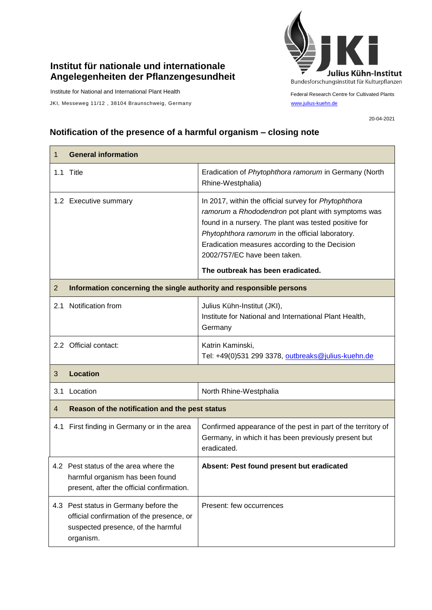## **Institut für nationale und internationale Angelegenheiten der Pflanzengesundheit**

Institute for National and International Plant Health

JKI, Messeweg 11/12, 38104 Braunschweig, Germany [www.julius-kuehn.de](http://www.julius-kuehn.de/)



Federal Research Centre for Cultivated Plants

20-04-2021

## **Notification of the presence of a harmful organism – closing note**

| 1              | <b>General information</b>                                                                                                            |                                                                                                                                                                                                                                                                                                                                                |  |
|----------------|---------------------------------------------------------------------------------------------------------------------------------------|------------------------------------------------------------------------------------------------------------------------------------------------------------------------------------------------------------------------------------------------------------------------------------------------------------------------------------------------|--|
|                | 1.1 Title                                                                                                                             | Eradication of Phytophthora ramorum in Germany (North<br>Rhine-Westphalia)                                                                                                                                                                                                                                                                     |  |
|                | 1.2 Executive summary                                                                                                                 | In 2017, within the official survey for Phytophthora<br>ramorum a Rhododendron pot plant with symptoms was<br>found in a nursery. The plant was tested positive for<br>Phytophthora ramorum in the official laboratory.<br>Eradication measures according to the Decision<br>2002/757/EC have been taken.<br>The outbreak has been eradicated. |  |
| $\overline{2}$ | Information concerning the single authority and responsible persons                                                                   |                                                                                                                                                                                                                                                                                                                                                |  |
| 2.1            | Notification from                                                                                                                     | Julius Kühn-Institut (JKI),<br>Institute for National and International Plant Health,<br>Germany                                                                                                                                                                                                                                               |  |
|                | 2.2 Official contact:                                                                                                                 | Katrin Kaminski,<br>Tel: +49(0)531 299 3378, outbreaks@julius-kuehn.de                                                                                                                                                                                                                                                                         |  |
| 3              | <b>Location</b>                                                                                                                       |                                                                                                                                                                                                                                                                                                                                                |  |
| 3.1            | Location                                                                                                                              | North Rhine-Westphalia                                                                                                                                                                                                                                                                                                                         |  |
| $\overline{4}$ | Reason of the notification and the pest status                                                                                        |                                                                                                                                                                                                                                                                                                                                                |  |
| 4.1            | First finding in Germany or in the area                                                                                               | Confirmed appearance of the pest in part of the territory of<br>Germany, in which it has been previously present but<br>eradicated.                                                                                                                                                                                                            |  |
|                | 4.2 Pest status of the area where the<br>harmful organism has been found<br>present, after the official confirmation.                 | Absent: Pest found present but eradicated                                                                                                                                                                                                                                                                                                      |  |
|                | 4.3 Pest status in Germany before the<br>official confirmation of the presence, or<br>suspected presence, of the harmful<br>organism. | Present: few occurrences                                                                                                                                                                                                                                                                                                                       |  |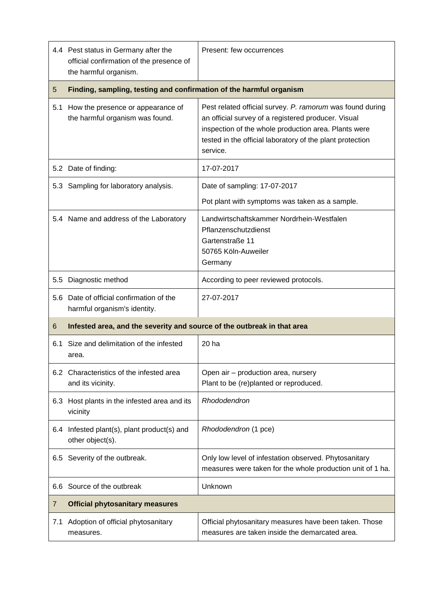|     | 4.4 Pest status in Germany after the<br>official confirmation of the presence of<br>the harmful organism. | Present: few occurrences                                                                                                                                                                                                                          |  |
|-----|-----------------------------------------------------------------------------------------------------------|---------------------------------------------------------------------------------------------------------------------------------------------------------------------------------------------------------------------------------------------------|--|
| 5   | Finding, sampling, testing and confirmation of the harmful organism                                       |                                                                                                                                                                                                                                                   |  |
| 5.1 | How the presence or appearance of<br>the harmful organism was found.                                      | Pest related official survey. P. ramorum was found during<br>an official survey of a registered producer. Visual<br>inspection of the whole production area. Plants were<br>tested in the official laboratory of the plant protection<br>service. |  |
|     | 5.2 Date of finding:                                                                                      | 17-07-2017                                                                                                                                                                                                                                        |  |
|     | 5.3 Sampling for laboratory analysis.                                                                     | Date of sampling: 17-07-2017                                                                                                                                                                                                                      |  |
|     |                                                                                                           | Pot plant with symptoms was taken as a sample.                                                                                                                                                                                                    |  |
|     | 5.4 Name and address of the Laboratory                                                                    | Landwirtschaftskammer Nordrhein-Westfalen<br>Pflanzenschutzdienst<br>Gartenstraße 11<br>50765 Köln-Auweiler<br>Germany                                                                                                                            |  |
| 5.5 | Diagnostic method                                                                                         | According to peer reviewed protocols.                                                                                                                                                                                                             |  |
| 5.6 | Date of official confirmation of the<br>harmful organism's identity.                                      | 27-07-2017                                                                                                                                                                                                                                        |  |
| 6   | Infested area, and the severity and source of the outbreak in that area                                   |                                                                                                                                                                                                                                                   |  |
| 6.1 | Size and delimitation of the infested<br>area.                                                            | 20 ha                                                                                                                                                                                                                                             |  |
|     | 6.2 Characteristics of the infested area<br>and its vicinity.                                             | Open air - production area, nursery<br>Plant to be (re)planted or reproduced.                                                                                                                                                                     |  |
|     | 6.3 Host plants in the infested area and its<br>vicinity                                                  | Rhododendron                                                                                                                                                                                                                                      |  |
|     | 6.4 Infested plant(s), plant product(s) and<br>other object(s).                                           | Rhododendron (1 pce)                                                                                                                                                                                                                              |  |
|     | 6.5 Severity of the outbreak.                                                                             | Only low level of infestation observed. Phytosanitary<br>measures were taken for the whole production unit of 1 ha.                                                                                                                               |  |
| 6.6 | Source of the outbreak                                                                                    | Unknown                                                                                                                                                                                                                                           |  |
| 7   | <b>Official phytosanitary measures</b>                                                                    |                                                                                                                                                                                                                                                   |  |
| 7.1 | Adoption of official phytosanitary<br>measures.                                                           | Official phytosanitary measures have been taken. Those<br>measures are taken inside the demarcated area.                                                                                                                                          |  |